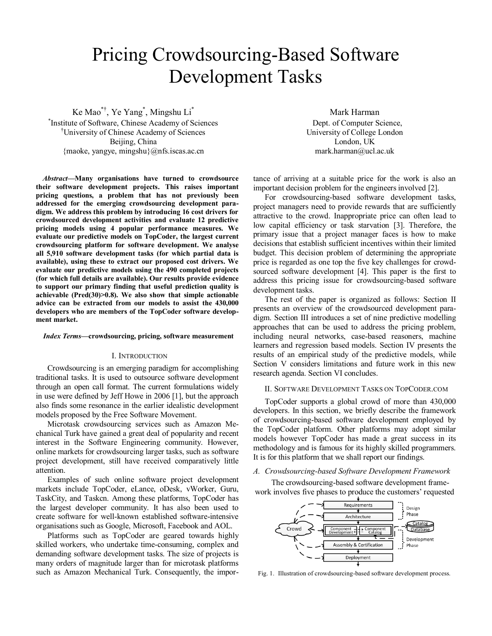# Pricing Crowdsourcing-Based Software Development Tasks

Ke Mao\*† , Ye Yang\* , Mingshu Li\*

\* Institute of Software, Chinese Academy of Sciences †University of Chinese Academy of Sciences Beijing, China {maoke, yangye, mingshu}@nfs.iscas.ac.cn

*Abstract***—Many organisations have turned to crowdsource their software development projects. This raises important pricing questions, a problem that has not previously been addressed for the emerging crowdsourcing development paradigm. We address this problem by introducing 16 cost drivers for crowdsourced development activities and evaluate 12 predictive pricing models using 4 popular performance measures. We evaluate our predictive models on TopCoder, the largest current crowdsourcing platform for software development. We analyse all 5,910 software development tasks (for which partial data is available), using these to extract our proposed cost drivers. We evaluate our predictive models using the 490 completed projects (for which full details are available). Our results provide evidence to support our primary finding that useful prediction quality is achievable (Pred(30)>0.8). We also show that simple actionable advice can be extracted from our models to assist the 430,000 developers who are members of the TopCoder software development market.**

## *Index Terms***—crowdsourcing, pricing, software measurement**

## I. INTRODUCTION

Crowdsourcing is an emerging paradigm for accomplishing traditional tasks. It is used to outsource software development through an open call format. The current formulations widely in use were defined by Jeff Howe in 2006 [1], but the approach also finds some resonance in the earlier idealistic development models proposed by the Free Software Movement.

Microtask crowdsourcing services such as Amazon Mechanical Turk have gained a great deal of popularity and recent interest in the Software Engineering community. However, online markets for crowdsourcing larger tasks, such as software project development, still have received comparatively little attention.

Examples of such online software project development markets include TopCoder, eLance, oDesk, vWorker, Guru, TaskCity, and Taskcn. Among these platforms, TopCoder has the largest developer community. It has also been used to create software for well-known established software-intensive organisations such as Google, Microsoft, Facebook and AOL.

Platforms such as TopCoder are geared towards highly skilled workers, who undertake time-consuming, complex and demanding software development tasks. The size of projects is many orders of magnitude larger than for microtask platforms such as Amazon Mechanical Turk. Consequently, the impor-

Mark Harman Dept. of Computer Science, University of College London London, UK mark.harman@ucl.ac.uk

tance of arriving at a suitable price for the work is also an important decision problem for the engineers involved [2].

For crowdsourcing-based software development tasks, project managers need to provide rewards that are sufficiently attractive to the crowd. Inappropriate price can often lead to low capital efficiency or task starvation [3]. Therefore, the primary issue that a project manager faces is how to make decisions that establish sufficient incentives within their limited budget. This decision problem of determining the appropriate price is regarded as one top the five key challenges for crowdsourced software development [4]. This paper is the first to address this pricing issue for crowdsourcing-based software development tasks.

The rest of the paper is organized as follows: Section II presents an overview of the crowdsourced development paradigm. Section III introduces a set of nine predictive modelling approaches that can be used to address the pricing problem, including neural networks, case-based reasoners, machine learners and regression based models. Section IV presents the results of an empirical study of the predictive models, while Section V considers limitations and future work in this new research agenda. Section VI concludes.

# II. SOFTWARE DEVELOPMENT TASKS ON TOPCODER.COM

TopCoder supports a global crowd of more than 430,000 developers. In this section, we briefly describe the framework of crowdsourcing-based software development employed by the TopCoder platform. Other platforms may adopt similar models however TopCoder has made a great success in its methodology and is famous for its highly skilled programmers. It is for this platform that we shall report our findings.

## *A. Crowdsourcing-based Software Development Framework*

The crowdsourcing-based software development framework involves five phases to produce the customers' requested



Fig. 1. Illustration of crowdsourcing-based software development process.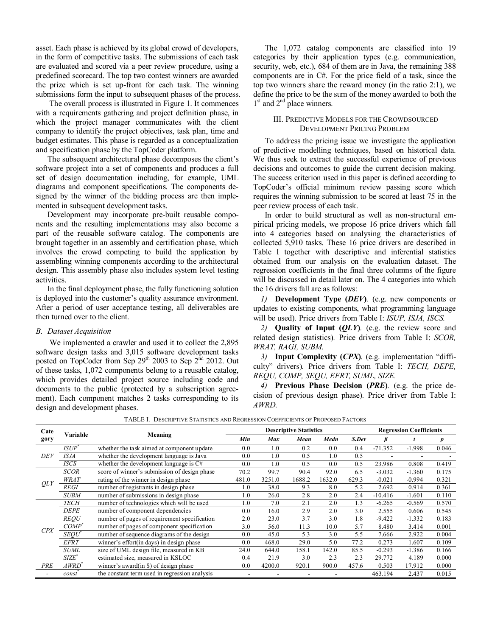asset. Each phase is achieved by its global crowd of developers, in the form of competitive tasks. The submissions of each task are evaluated and scored via a peer review procedure, using a predefined scorecard. The top two contest winners are awarded the prize which is set up-front for each task. The winning submissions form the input to subsequent phases of the process.

The overall process is illustrated in Figure 1. It commences with a requirements gathering and project definition phase, in which the project manager communicates with the client company to identify the project objectives, task plan, time and budget estimates. This phase is regarded as a conceptualization and specification phase by the TopCoder platform.

The subsequent architectural phase decomposes the client's software project into a set of components and produces a full set of design documentation including, for example, UML diagrams and component specifications. The components designed by the winner of the bidding process are then implemented in subsequent development tasks.

Development may incorporate pre-built reusable components and the resulting implementations may also become a part of the reusable software catalog. The components are brought together in an assembly and certification phase, which involves the crowd competing to build the application by assembling winning components according to the architectural design. This assembly phase also includes system level testing activities.

In the final deployment phase, the fully functioning solution is deployed into the customer's quality assurance environment. After a period of user acceptance testing, all deliverables are then turned over to the client.

# *B. Dataset Acquisition*

We implemented a crawler and used it to collect the 2,895 software design tasks and 3,015 software development tasks posted on TopCoder from Sep 29<sup>th</sup> 2003 to Sep 2<sup>nd</sup> 2012. Out of these tasks, 1,072 components belong to a reusable catalog, which provides detailed project source including code and documents to the public (protected by a subscription agreement). Each component matches 2 tasks corresponding to its design and development phases.

The 1,072 catalog components are classified into 19 categories by their application types (e.g. communication, security, web, etc.), 684 of them are in Java, the remaining 388 components are in C#. For the price field of a task, since the top two winners share the reward money (in the ratio 2:1), we define the price to be the sum of the money awarded to both the 1<sup>st</sup> and 2<sup>nd</sup> place winners.

# III. PREDICTIVE MODELS FOR THE CROWDSOURCED DEVELOPMENT PRICING PROBLEM

To address the pricing issue we investigate the application of predictive modelling techniques, based on historical data. We thus seek to extract the successful experience of previous decisions and outcomes to guide the current decision making. The success criterion used in this paper is defined according to TopCoder's official minimum review passing score which requires the winning submission to be scored at least 75 in the peer review process of each task.

In order to build structural as well as non-structural empirical pricing models, we propose 16 price drivers which fall into 4 categories based on analysing the characteristics of collected 5,910 tasks. These 16 price drivers are described in Table I together with descriptive and inferential statistics obtained from our analysis on the evaluation dataset. The regression coefficients in the final three columns of the figure will be discussed in detail later on. The 4 categories into which the 16 drivers fall are as follows:

*1)* **Development Type (***DEV***)***.* (e.g. new components or updates to existing components, what programming language will be used)*.* Price drivers from Table I: *ISUP, ISJA, ISCS.*

*2)* **Quality of Input (***QLY***)***.* (e.g. the review score and related design statistics)*.* Price drivers from Table I: *SCOR, WRAT, RAGI, SUBM.*

*3)* **Input Complexity (***CPX***)***.* (e.g. implementation "difficulty" drivers)*.* Price drivers from Table I: *TECH, DEPE, REQU, COMP, SEQU, EFRT, SUML, SIZE.*

*4)* **Previous Phase Decision (***PRE***)***.* (e.g. the price decision of previous design phase)*.* Price driver from Table I: *AWRD.*

TABLE I. DESCRIPTIVE STATISTICS AND REGRESSION COEFFICIENTS OF PROPOSED FACTORS

| Cate<br>gory | Variable          | Meaning                                       | <b>Descriptive Statistics</b> |            |        |        |       | <b>Regression Coefficients</b> |          |                  |
|--------------|-------------------|-----------------------------------------------|-------------------------------|------------|--------|--------|-------|--------------------------------|----------|------------------|
|              |                   |                                               | Min                           | <b>Max</b> | Mean   | Medn   | S.Dev | β                              |          | $\boldsymbol{p}$ |
| DEV          | $ISUP^*$          | whether the task aimed at component update    | 0.0                           | 1.0        | 0.2    | 0.0    | 0.4   | $-71.352$                      | $-1.998$ | 0.046            |
|              | <i>ISJA</i>       | whether the development language is Java      | 0.0                           | 1.0        | 0.5    | 1.0    | 0.5   |                                |          |                  |
|              | ISCS              | whether the development language is $C#$      | 0.0                           | 1.0        | 0.5    | 0.0    | 0.5   | 23.986                         | 0.808    | 0.419            |
| QLY          | <b>SCOR</b>       | score of winner's submission of design phase  | 70.2                          | 99.7       | 90.4   | 92.0   | 6.5   | $-3.032$                       | $-1.360$ | 0.175            |
|              | <i>WRAT</i>       | rating of the winner in design phase          | 481.0                         | 3251.0     | 1688.2 | 1632.0 | 629.3 | $-0.021$                       | $-0.994$ | 0.321            |
|              | <i>REGI</i>       | number of registrants in design phase         | 1.0                           | 38.0       | 9.3    | 8.0    | 5.2   | 2.692                          | 0.914    | 0.361            |
|              | <b>SUBM</b>       | number of submissions in design phase         | 1.0                           | 26.0       | 2.8    | 2.0    | 2.4   | $-10.416$                      | $-1.601$ | 0.110            |
| CPX          | <b>TECH</b>       | number of technologies which will be used     | 1.0                           | 7.0        | 2.1    | 2.0    | 1.3   | $-6.265$                       | $-0.569$ | 0.570            |
|              | <b>DEPE</b>       | number of component dependencies              | 0.0                           | 16.0       | 2.9    | 2.0    | 3.0   | 2.555                          | 0.606    | 0.545            |
|              | <b>REOU</b>       | number of pages of requirement specification  | 2.0                           | 23.0       | 3.7    | 3.0    | 1.8   | $-9.422$                       | $-1.332$ | 0.183            |
|              | $COMP^*$          | number of pages of component specification    | 3.0                           | 56.0       | 11.3   | 10.0   | 5.7   | 8.480                          | 3.414    | 0.001            |
|              | <i>SEOU</i>       | number of sequence diagrams of the design     | 0.0                           | 45.0       | 5.3    | 3.0    | 5.5   | 7.666                          | 2.922    | 0.004            |
|              | <b>EFRT</b>       | winner's effort (in days) in design phase     | 0.0                           | 468.0      | 29.0   | 5.0    | 77.2  | 0.273                          | 1.607    | 0.109            |
|              | <b>SUML</b>       | size of UML design file, measured in KB       | 24.0                          | 644.0      | 158.1  | 142.0  | 85.5  | $-0.293$                       | $-1.386$ | 0.166            |
|              | SIZE <sup>*</sup> | estimated size, measured in KSLOC             | 0.4                           | 21.9       | 3.0    | 2.3    | 2.3   | 29.772                         | 4.189    | 0.000            |
| <b>PRE</b>   | A WR D`           | winner's award $(in \$ ) of design phase      | 0.0                           | 4200.0     | 920.1  | 900.0  | 457.6 | 0.503                          | 17.912   | 0.000            |
|              | const             | the constant term used in regression analysis |                               |            |        |        |       | 463.194                        | 2.437    | 0.015            |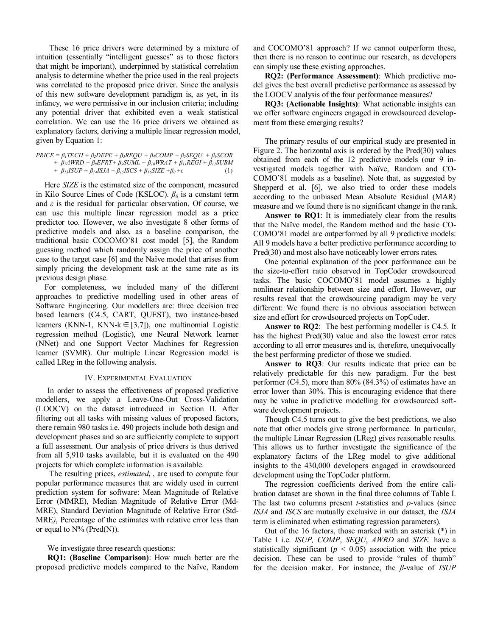These 16 price drivers were determined by a mixture of intuition (essentially "intelligent guesses" as to those factors that might be important), underpinned by statistical correlation analysis to determine whether the price used in the real projects was correlated to the proposed price driver. Since the analysis of this new software development paradigm is, as yet, in its infancy, we were permissive in our inclusion criteria; including any potential driver that exhibited even a weak statistical correlation. We can use the 16 price drivers we obtained as explanatory factors, deriving a multiple linear regression model, given by Equation 1:

$$
PRICE = \beta_1TECH + \beta_2DEPE + \beta_3REQU + \beta_4COMP + \beta_5SEQU + \beta_6SCOR + \beta_2AWRD + \beta_3EFRT + \beta_9SUML + \beta_{10}WRAT + \beta_{11}REGI + \beta_{12}SUBM + \beta_{13}ISUP + \beta_{14}ISJA + \beta_{15}ISCS + \beta_{16}SIZE + \beta_0 + \varepsilon
$$
 (1)

Here *SIZE* is the estimated size of the component, measured in Kilo Source Lines of Code (KSLOC). *β<sup>0</sup>* is a constant term and  $\varepsilon$  is the residual for particular observation. Of course, we can use this multiple linear regression model as a price predictor too. However, we also investigate 8 other forms of predictive models and also, as a baseline comparison, the traditional basic COCOMO'81 cost model [5], the Random guessing method which randomly assign the price of another case to the target case [6] and the Naïve model that arises from simply pricing the development task at the same rate as its previous design phase.

For completeness, we included many of the different approaches to predictive modelling used in other areas of Software Engineering. Our modellers are: three decision tree based learners (C4.5, CART, QUEST), two instance-based learners (KNN-1, KNN-k∈[3,7]), one multinomial Logistic regression method (Logistic), one Neural Network learner (NNet) and one Support Vector Machines for Regression learner (SVMR). Our multiple Linear Regression model is called LReg in the following analysis.

## IV. EXPERIMENTAL EVALUATION

In order to assess the effectiveness of proposed predictive modellers, we apply a Leave-One-Out Cross-Validation (LOOCV) on the dataset introduced in Section II. After filtering out all tasks with missing values of proposed factors, there remain 980 tasks i.e. 490 projects include both design and development phases and so are sufficiently complete to support a full assessment. Our analysis of price drivers is thus derived from all 5,910 tasks available, but it is evaluated on the 490 projects for which complete information is available.

The resulting prices, *estimated<sup>i</sup> ,* , are used to compute four popular performance measures that are widely used in current prediction system for software: Mean Magnitude of Relative Error (MMRE), Median Magnitude of Relative Error (Md-MRE), Standard Deviation Magnitude of Relative Error (Std-MRE*)*, Percentage of the estimates with relative error less than or equal to  $N\%$  (Pred(N)).

We investigate three research questions:

**RQ1: (Baseline Comparison)**: How much better are the proposed predictive models compared to the Naïve, Random and COCOMO'81 approach? If we cannot outperform these, then there is no reason to continue our research, as developers can simply use these existing approaches.

**RQ2: (Performance Assessment)**: Which predictive model gives the best overall predictive performance as assessed by the LOOCV analysis of the four performance measures?

**RQ3: (Actionable Insights)**: What actionable insights can we offer software engineers engaged in crowdsourced development from these emerging results?

The primary results of our empirical study are presented in Figure 2. The horizontal axis is ordered by the Pred(30) values obtained from each of the 12 predictive models (our 9 investigated models together with Naïve, Random and CO-COMO'81 models as a baseline). Note that, as suggested by Shepperd et al. [6], we also tried to order these models according to the unbiased Mean Absolute Residual (MAR) measure and we found there is no significant change in the rank.

**Answer to RQ1**: It is immediately clear from the results that the Naïve model, the Random method and the basic CO-COMO'81 model are outperformed by all 9 predictive models: All 9 models have a better predictive performance according to Pred(30) and most also have noticeably lower errors rates.

One potential explanation of the poor performance can be the size-to-effort ratio observed in TopCoder crowdsourced tasks. The basic COCOMO'81 model assumes a highly nonlinear relationship between size and effort. However, our results reveal that the crowdsourcing paradigm may be very different: We found there is no obvious association between size and effort for crowdsourced projects on TopCoder.

**Answer to RQ2**: The best performing modeller is C4.5. It has the highest Pred(30) value and also the lowest error rates according to all error measures and is, therefore, unequivocally the best performing predictor of those we studied.

**Answer to RQ3**: Our results indicate that price can be relatively predictable for this new paradigm. For the best performer (C4.5), more than 80% (84.3%) of estimates have an error lower than 30%. This is encouraging evidence that there may be value in predictive modelling for crowdsourced software development projects.

Though C4.5 turns out to give the best predictions, we also note that other models give strong performance. In particular, the multiple Linear Regression (LReg) gives reasonable results. This allows us to further investigate the significance of the explanatory factors of the LReg model to give additional insights to the 430,000 developers engaged in crowdsourced development using the TopCoder platform.

The regression coefficients derived from the entire calibration dataset are shown in the final three columns of Table I. The last two columns present *t-*statistics and *p-*values (since *ISJA* and *ISCS* are mutually exclusive in our dataset, the *ISJA* term is eliminated when estimating regression parameters).

Out of the 16 factors, those marked with an asterisk (\*) in Table I i.e. *ISUP, COMP*, *SEQU*, *AWRD* and *SIZE,* have a statistically significant ( $p < 0.05$ ) association with the price decision. These can be used to provide "rules of thumb" for the decision maker. For instance, the *β*-value of *ISUP*